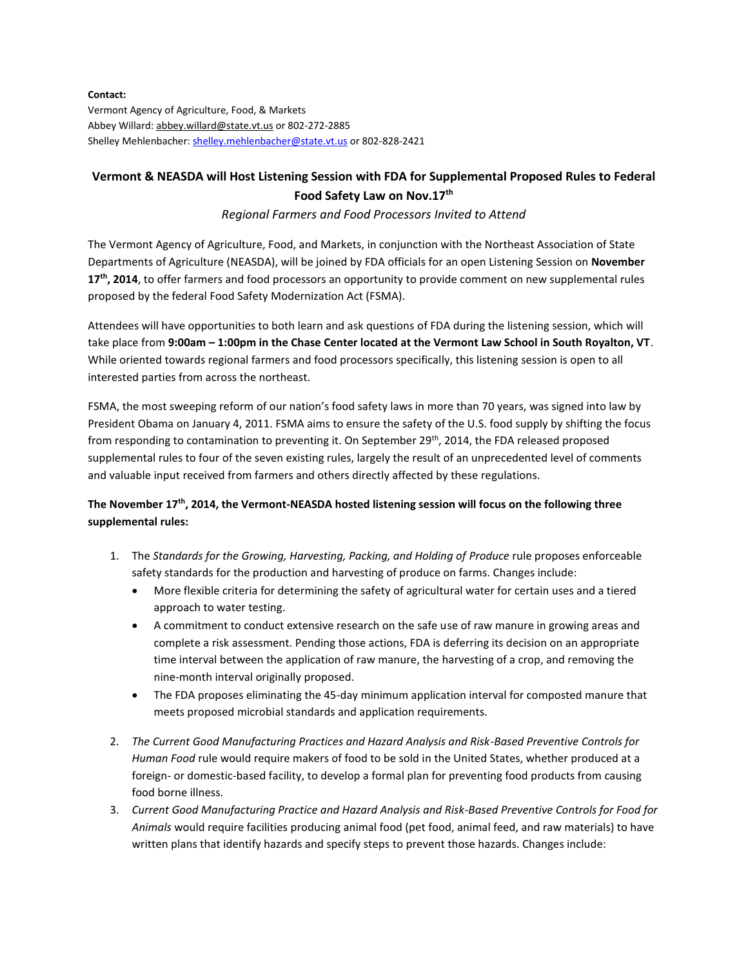## **Contact:**

Vermont Agency of Agriculture, Food, & Markets Abbey Willard: [abbey.willard@state.vt.us](mailto:abbey.willard@state.vt.us) or 802-272-2885 Shelley Mehlenbacher: [shelley.mehlenbacher@state.vt.us](mailto:shelley.mehlenbacher@state.vt.us) or 802-828-2421

## **Vermont & NEASDA will Host Listening Session with FDA for Supplemental Proposed Rules to Federal Food Safety Law on Nov.17th**

## *Regional Farmers and Food Processors Invited to Attend*

The Vermont Agency of Agriculture, Food, and Markets, in conjunction with the Northeast Association of State Departments of Agriculture (NEASDA), will be joined by FDA officials for an open Listening Session on **November 17th, 2014**, to offer farmers and food processors an opportunity to provide comment on new supplemental rules proposed by the federal Food Safety Modernization Act (FSMA).

Attendees will have opportunities to both learn and ask questions of FDA during the listening session, which will take place from **9:00am – 1:00pm in the Chase Center located at the Vermont Law School in South Royalton, VT**. While oriented towards regional farmers and food processors specifically, this listening session is open to all interested parties from across the northeast.

FSMA, the most sweeping reform of our nation's food safety laws in more than 70 years, was signed into law by President Obama on January 4, 2011. FSMA aims to ensure the safety of the U.S. food supply by shifting the focus from responding to contamination to preventing it. On September 29<sup>th</sup>, 2014, the FDA released proposed supplemental rules to four of the seven existing rules, largely the result of an unprecedented level of comments and valuable input received from farmers and others directly affected by these regulations.

## **The November 17th, 2014, the Vermont-NEASDA hosted listening session will focus on the following three supplemental rules:**

- 1. The *Standards for the Growing, Harvesting, Packing, and Holding of Produce* rule proposes enforceable safety standards for the production and harvesting of produce on farms. Changes include:
	- More flexible criteria for determining the safety of agricultural water for certain uses and a tiered approach to water testing.
	- A commitment to conduct extensive research on the safe use of raw manure in growing areas and complete a risk assessment. Pending those actions, FDA is deferring its decision on an appropriate time interval between the application of raw manure, the harvesting of a crop, and removing the nine-month interval originally proposed.
	- The FDA proposes eliminating the 45-day minimum application interval for composted manure that meets proposed microbial standards and application requirements.
- 2. *The Current Good Manufacturing Practices and Hazard Analysis and Risk-Based Preventive Controls for Human Food* rule would require makers of food to be sold in the United States, whether produced at a foreign- or domestic-based facility, to develop a formal plan for preventing food products from causing food borne illness.
- 3. *Current Good Manufacturing Practice and Hazard Analysis and Risk-Based Preventive Controls for Food for Animals* would require facilities producing animal food (pet food, animal feed, and raw materials) to have written plans that identify hazards and specify steps to prevent those hazards. Changes include: